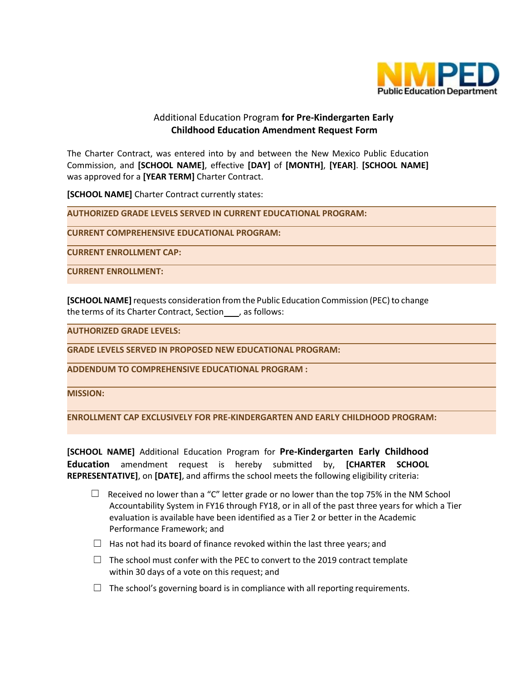

## Additional Education Program **for Pre-Kindergarten Early Childhood Education Amendment Request Form**

The Charter Contract, was entered into by and between the New Mexico Public Education Commission, and **[SCHOOL NAME]**, effective **[DAY]** of **[MONTH]**, **[YEAR]**. **[SCHOOL NAME]**  was approved for a **[YEAR TERM]** Charter Contract.

**[SCHOOL NAME]** Charter Contract currently states:

**AUTHORIZED GRADE LEVELS SERVED IN CURRENT EDUCATIONAL PROGRAM:**

**CURRENT COMPREHENSIVE EDUCATIONAL PROGRAM:**

**CURRENT ENROLLMENT CAP:**

**CURRENT ENROLLMENT:**

**[SCHOOL NAME]** requests consideration from the Public Education Commission (PEC) to change the terms of its Charter Contract, Section , as follows:

**AUTHORIZED GRADE LEVELS:**

**GRADE LEVELS SERVED IN PROPOSED NEW EDUCATIONAL PROGRAM:**

**ADDENDUM TO COMPREHENSIVE EDUCATIONAL PROGRAM :**

**MISSION:**

**ENROLLMENT CAP EXCLUSIVELY FOR PRE-KINDERGARTEN AND EARLY CHILDHOOD PROGRAM:**

**[SCHOOL NAME]** Additional Education Program for **Pre-Kindergarten Early Childhood Education** amendment request is hereby submitted by, **[CHARTER SCHOOL REPRESENTATIVE]**, on **[DATE]**, and affirms the school meets the following eligibility criteria:

- $\Box$  Received no lower than a "C" letter grade or no lower than the top 75% in the NM School Accountability System in FY16 through FY18, or in all of the past three years for which a Tier evaluation is available have been identified as a Tier 2 or better in the Academic Performance Framework; and
- $\Box$  Has not had its board of finance revoked within the last three years; and
- $\Box$  The school must confer with the PEC to convert to the 2019 contract template within 30 days of a vote on this request; and
- $\Box$  The school's governing board is in compliance with all reporting requirements.